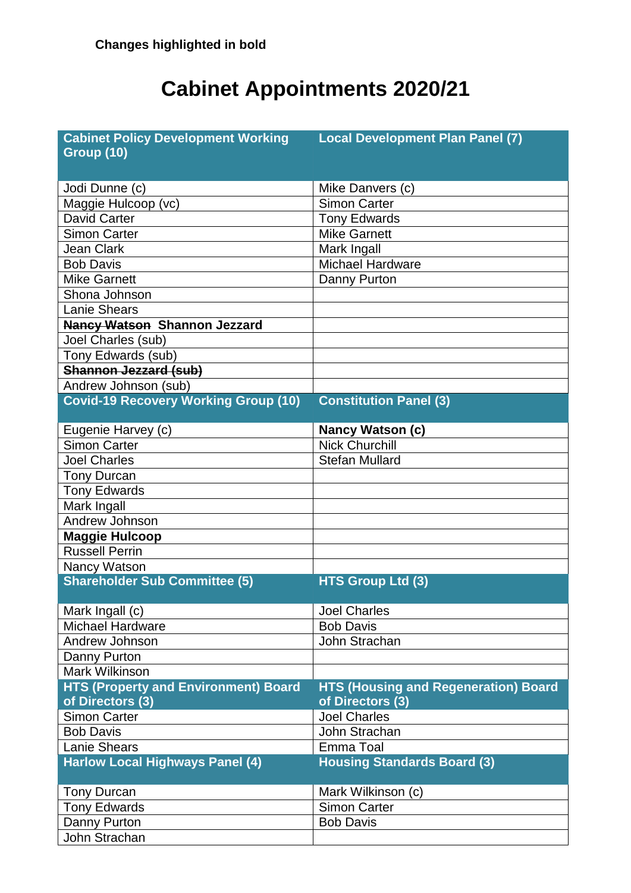## **Cabinet Appointments 2020/21**

| <b>Cabinet Policy Development Working</b>   | <b>Local Development Plan Panel (7)</b>     |
|---------------------------------------------|---------------------------------------------|
| <b>Group (10)</b>                           |                                             |
| Jodi Dunne (c)                              | Mike Danvers (c)                            |
| Maggie Hulcoop (vc)                         | <b>Simon Carter</b>                         |
| <b>David Carter</b>                         | <b>Tony Edwards</b>                         |
|                                             | <b>Mike Garnett</b>                         |
| <b>Simon Carter</b>                         |                                             |
| <b>Jean Clark</b>                           | Mark Ingall                                 |
| <b>Bob Davis</b>                            | <b>Michael Hardware</b>                     |
| <b>Mike Garnett</b>                         | Danny Purton                                |
| Shona Johnson                               |                                             |
| <b>Lanie Shears</b>                         |                                             |
| <b>Nancy Watson Shannon Jezzard</b>         |                                             |
| Joel Charles (sub)                          |                                             |
| Tony Edwards (sub)                          |                                             |
| <b>Shannon Jezzard (sub)</b>                |                                             |
| Andrew Johnson (sub)                        |                                             |
| <b>Covid-19 Recovery Working Group (10)</b> | <b>Constitution Panel (3)</b>               |
|                                             |                                             |
| Eugenie Harvey (c)                          | <b>Nancy Watson (c)</b>                     |
| <b>Simon Carter</b>                         | <b>Nick Churchill</b>                       |
| <b>Joel Charles</b>                         | <b>Stefan Mullard</b>                       |
| <b>Tony Durcan</b>                          |                                             |
| <b>Tony Edwards</b>                         |                                             |
| Mark Ingall                                 |                                             |
| Andrew Johnson                              |                                             |
| <b>Maggie Hulcoop</b>                       |                                             |
| <b>Russell Perrin</b>                       |                                             |
| Nancy Watson                                |                                             |
| <b>Shareholder Sub Committee (5)</b>        | <b>HTS Group Ltd (3)</b>                    |
|                                             |                                             |
| Mark Ingall (c)                             | <b>Joel Charles</b>                         |
| Michael Hardware                            | <b>Bob Davis</b>                            |
| Andrew Johnson                              | John Strachan                               |
| Danny Purton                                |                                             |
| <b>Mark Wilkinson</b>                       |                                             |
| <b>HTS (Property and Environment) Board</b> | <b>HTS (Housing and Regeneration) Board</b> |
| of Directors (3)                            | of Directors (3)                            |
| <b>Simon Carter</b>                         | <b>Joel Charles</b>                         |
| <b>Bob Davis</b>                            | John Strachan                               |
| <b>Lanie Shears</b>                         | Emma Toal                                   |
| <b>Harlow Local Highways Panel (4)</b>      | <b>Housing Standards Board (3)</b>          |
|                                             |                                             |
| <b>Tony Durcan</b>                          | Mark Wilkinson (c)                          |
| <b>Tony Edwards</b>                         | <b>Simon Carter</b>                         |
| Danny Purton                                | <b>Bob Davis</b>                            |
| John Strachan                               |                                             |